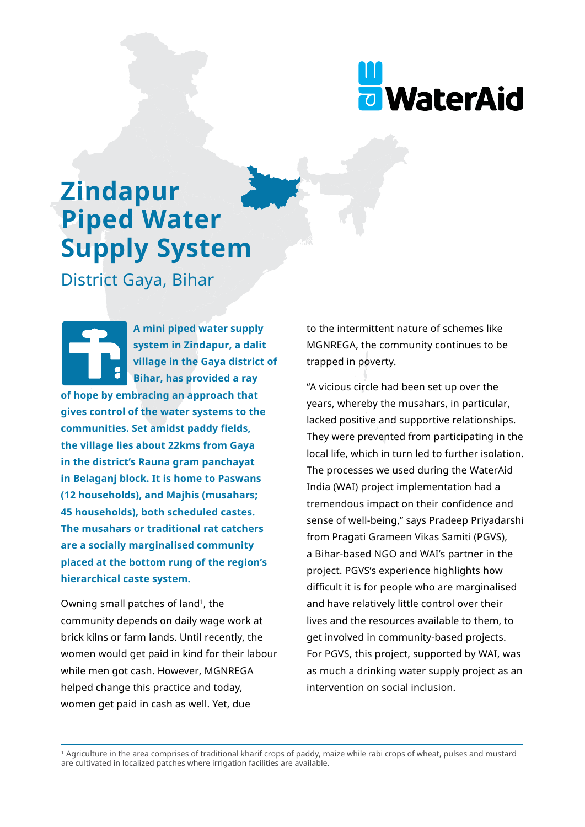

# **Zindapur Piped Water Supply System**

District Gaya, Bihar

**A mini piped water supply system in Zindapur, a dalit village in the Gaya district of Bihar, has provided a ray of hope by embracing an approach that gives control of the water systems to the communities. Set amidst paddy fields, the village lies about 22kms from Gaya in the district's Rauna gram panchayat in Belaganj block. It is home to Paswans (12 households), and Majhis (musahars; 45 households), both scheduled castes. The musahars or traditional rat catchers are a socially marginalised community placed at the bottom rung of the region's hierarchical caste system.**

Owning small patches of land<sup>1</sup>, the community depends on daily wage work at brick kilns or farm lands. Until recently, the women would get paid in kind for their labour while men got cash. However, MGNREGA helped change this practice and today, women get paid in cash as well. Yet, due

to the intermittent nature of schemes like MGNREGA, the community continues to be trapped in poverty.

"A vicious circle had been set up over the years, whereby the musahars, in particular, lacked positive and supportive relationships. They were prevented from participating in the local life, which in turn led to further isolation. The processes we used during the WaterAid India (WAI) project implementation had a tremendous impact on their confidence and sense of well-being," says Pradeep Priyadarshi from Pragati Grameen Vikas Samiti (PGVS), a Bihar-based NGO and WAI's partner in the project. PGVS's experience highlights how difficult it is for people who are marginalised and have relatively little control over their lives and the resources available to them, to get involved in community-based projects. For PGVS, this project, supported by WAI, was as much a drinking water supply project as an intervention on social inclusion.

1 Agriculture in the area comprises of traditional kharif crops of paddy, maize while rabi crops of wheat, pulses and mustard are cultivated in localized patches where irrigation facilities are available.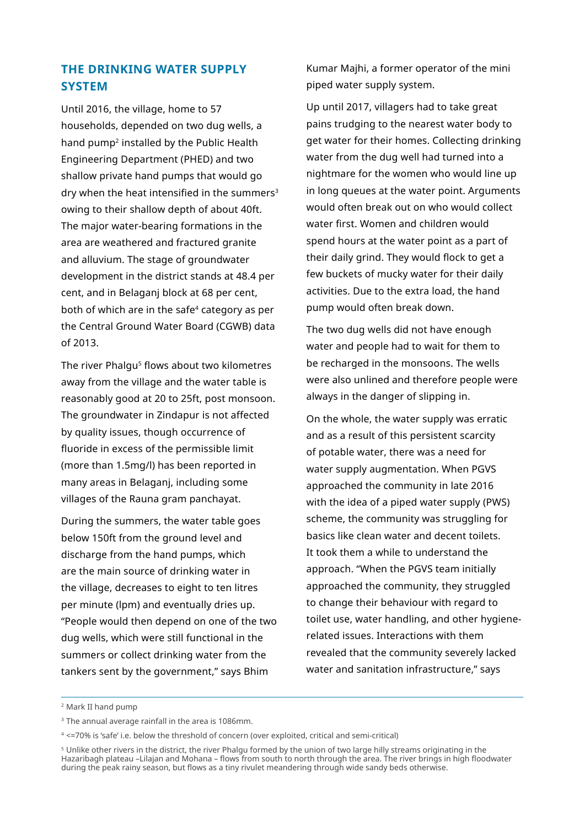## **THE DRINKING WATER SUPPLY SYSTEM**

Until 2016, the village, home to 57 households, depended on two dug wells, a hand pump2 installed by the Public Health Engineering Department (PHED) and two shallow private hand pumps that would go dry when the heat intensified in the summers $3$ owing to their shallow depth of about 40ft. The major water-bearing formations in the area are weathered and fractured granite and alluvium. The stage of groundwater development in the district stands at 48.4 per cent, and in Belaganj block at 68 per cent, both of which are in the safe<sup>4</sup> category as per the Central Ground Water Board (CGWB) data of 2013.

The river Phalgu<sup>5</sup> flows about two kilometres away from the village and the water table is reasonably good at 20 to 25ft, post monsoon. The groundwater in Zindapur is not affected by quality issues, though occurrence of fluoride in excess of the permissible limit (more than 1.5mg/l) has been reported in many areas in Belaganj, including some villages of the Rauna gram panchayat.

During the summers, the water table goes below 150ft from the ground level and discharge from the hand pumps, which are the main source of drinking water in the village, decreases to eight to ten litres per minute (lpm) and eventually dries up. "People would then depend on one of the two dug wells, which were still functional in the summers or collect drinking water from the tankers sent by the government," says Bhim

Kumar Majhi, a former operator of the mini piped water supply system.

Up until 2017, villagers had to take great pains trudging to the nearest water body to get water for their homes. Collecting drinking water from the dug well had turned into a nightmare for the women who would line up in long queues at the water point. Arguments would often break out on who would collect water first. Women and children would spend hours at the water point as a part of their daily grind. They would flock to get a few buckets of mucky water for their daily activities. Due to the extra load, the hand pump would often break down.

The two dug wells did not have enough water and people had to wait for them to be recharged in the monsoons. The wells were also unlined and therefore people were always in the danger of slipping in.

On the whole, the water supply was erratic and as a result of this persistent scarcity of potable water, there was a need for water supply augmentation. When PGVS approached the community in late 2016 with the idea of a piped water supply (PWS) scheme, the community was struggling for basics like clean water and decent toilets. It took them a while to understand the approach. "When the PGVS team initially approached the community, they struggled to change their behaviour with regard to toilet use, water handling, and other hygienerelated issues. Interactions with them revealed that the community severely lacked water and sanitation infrastructure," says

<sup>2</sup> Mark II hand pump

<sup>&</sup>lt;sup>3</sup> The annual average rainfall in the area is 1086mm.

<sup>4 &</sup>lt;=70% is 'safe' i.e. below the threshold of concern (over exploited, critical and semi-critical)

<sup>5</sup> Unlike other rivers in the district, the river Phalgu formed by the union of two large hilly streams originating in the Hazaribagh plateau –Lilajan and Mohana – flows from south to north through the area. The river brings in high floodwater during the peak rainy season, but flows as a tiny rivulet meandering through wide sandy beds otherwise.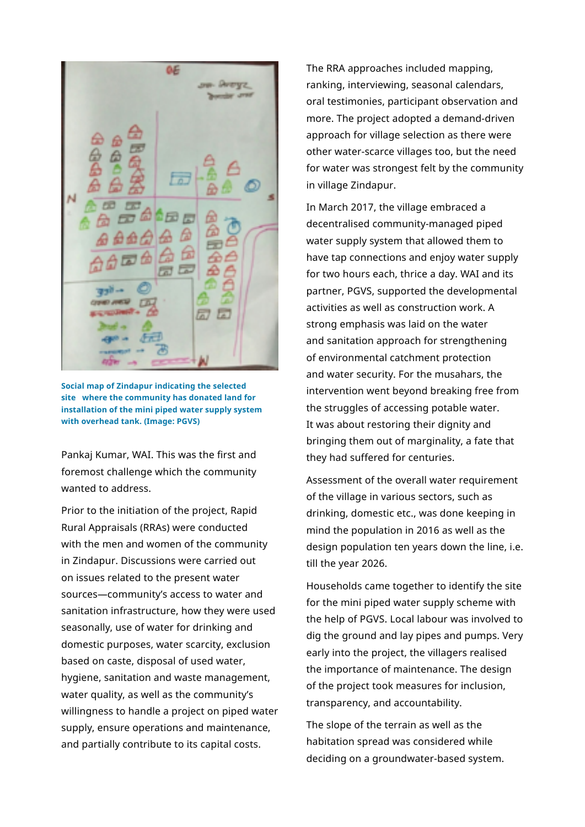

**Social map of Zindapur indicating the selected site where the community has donated land for installation of the mini piped water supply system with overhead tank. (Image: PGVS)**

Pankaj Kumar, WAI. This was the first and foremost challenge which the community wanted to address.

Prior to the initiation of the project, Rapid Rural Appraisals (RRAs) were conducted with the men and women of the community in Zindapur. Discussions were carried out on issues related to the present water sources—community's access to water and sanitation infrastructure, how they were used seasonally, use of water for drinking and domestic purposes, water scarcity, exclusion based on caste, disposal of used water, hygiene, sanitation and waste management, water quality, as well as the community's willingness to handle a project on piped water supply, ensure operations and maintenance, and partially contribute to its capital costs.

The RRA approaches included mapping, ranking, interviewing, seasonal calendars, oral testimonies, participant observation and more. The project adopted a demand-driven approach for village selection as there were other water-scarce villages too, but the need for water was strongest felt by the community in village Zindapur.

In March 2017, the village embraced a decentralised community-managed piped water supply system that allowed them to have tap connections and enjoy water supply for two hours each, thrice a day. WAI and its partner, PGVS, supported the developmental activities as well as construction work. A strong emphasis was laid on the water and sanitation approach for strengthening of environmental catchment protection and water security. For the musahars, the intervention went beyond breaking free from the struggles of accessing potable water. It was about restoring their dignity and bringing them out of marginality, a fate that they had suffered for centuries.

Assessment of the overall water requirement of the village in various sectors, such as drinking, domestic etc., was done keeping in mind the population in 2016 as well as the design population ten years down the line, i.e. till the year 2026.

Households came together to identify the site for the mini piped water supply scheme with the help of PGVS. Local labour was involved to dig the ground and lay pipes and pumps. Very early into the project, the villagers realised the importance of maintenance. The design of the project took measures for inclusion, transparency, and accountability.

The slope of the terrain as well as the habitation spread was considered while deciding on a groundwater-based system.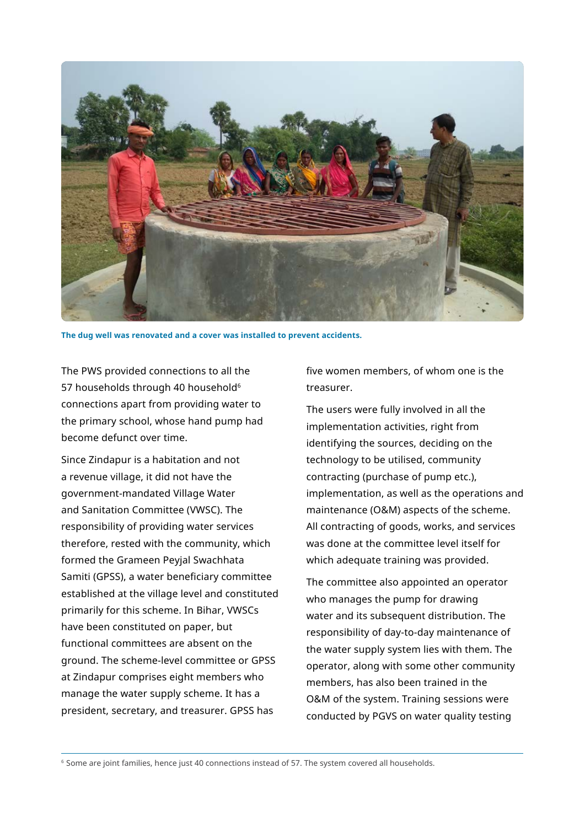

**The dug well was renovated and a cover was installed to prevent accidents.**

The PWS provided connections to all the 57 households through 40 household<sup>6</sup> connections apart from providing water to the primary school, whose hand pump had become defunct over time.

Since Zindapur is a habitation and not a revenue village, it did not have the government-mandated Village Water and Sanitation Committee (VWSC). The responsibility of providing water services therefore, rested with the community, which formed the Grameen Peyjal Swachhata Samiti (GPSS), a water beneficiary committee established at the village level and constituted primarily for this scheme. In Bihar, VWSCs have been constituted on paper, but functional committees are absent on the ground. The scheme-level committee or GPSS at Zindapur comprises eight members who manage the water supply scheme. It has a president, secretary, and treasurer. GPSS has

five women members, of whom one is the treasurer.

The users were fully involved in all the implementation activities, right from identifying the sources, deciding on the technology to be utilised, community contracting (purchase of pump etc.), implementation, as well as the operations and maintenance (O&M) aspects of the scheme. All contracting of goods, works, and services was done at the committee level itself for which adequate training was provided.

The committee also appointed an operator who manages the pump for drawing water and its subsequent distribution. The responsibility of day-to-day maintenance of the water supply system lies with them. The operator, along with some other community members, has also been trained in the O&M of the system. Training sessions were conducted by PGVS on water quality testing

<sup>6</sup> Some are joint families, hence just 40 connections instead of 57. The system covered all households.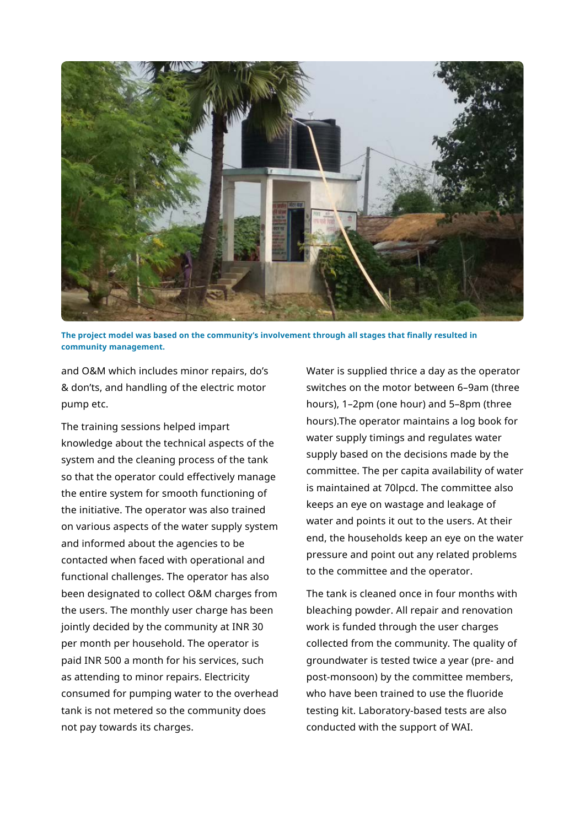

**The project model was based on the community's involvement through all stages that finally resulted in community management.**

and O&M which includes minor repairs, do's & don'ts, and handling of the electric motor pump etc.

The training sessions helped impart knowledge about the technical aspects of the system and the cleaning process of the tank so that the operator could effectively manage the entire system for smooth functioning of the initiative. The operator was also trained on various aspects of the water supply system and informed about the agencies to be contacted when faced with operational and functional challenges. The operator has also been designated to collect O&M charges from the users. The monthly user charge has been jointly decided by the community at INR 30 per month per household. The operator is paid INR 500 a month for his services, such as attending to minor repairs. Electricity consumed for pumping water to the overhead tank is not metered so the community does not pay towards its charges.

Water is supplied thrice a day as the operator switches on the motor between 6–9am (three hours), 1–2pm (one hour) and 5–8pm (three hours).The operator maintains a log book for water supply timings and regulates water supply based on the decisions made by the committee. The per capita availability of water is maintained at 70lpcd. The committee also keeps an eye on wastage and leakage of water and points it out to the users. At their end, the households keep an eye on the water pressure and point out any related problems to the committee and the operator.

The tank is cleaned once in four months with bleaching powder. All repair and renovation work is funded through the user charges collected from the community. The quality of groundwater is tested twice a year (pre- and post-monsoon) by the committee members, who have been trained to use the fluoride testing kit. Laboratory-based tests are also conducted with the support of WAI.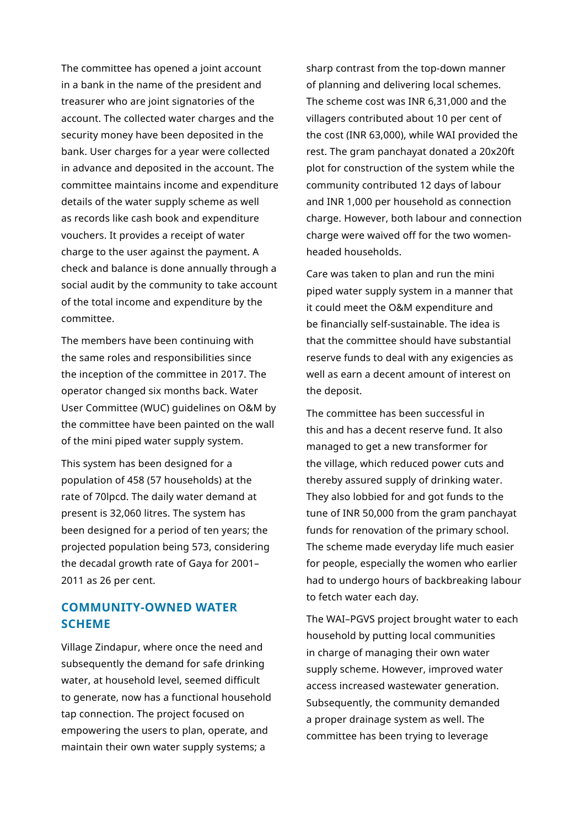The committee has opened a joint account in a bank in the name of the president and treasurer who are joint signatories of the account. The collected water charges and the security money have been deposited in the bank. User charges for a year were collected in advance and deposited in the account. The committee maintains income and expenditure details of the water supply scheme as well as records like cash book and expenditure vouchers. It provides a receipt of water charge to the user against the payment. A check and balance is done annually through a social audit by the community to take account of the total income and expenditure by the committee.

The members have been continuing with the same roles and responsibilities since the inception of the committee in 2017. The operator changed six months back. Water User Committee (WUC) guidelines on O&M by the committee have been painted on the wall of the mini piped water supply system.

This system has been designed for a population of 458 (57 households) at the rate of 70lpcd. The daily water demand at present is 32,060 litres. The system has been designed for a period of ten years; the projected population being 573, considering the decadal growth rate of Gaya for 2001– 2011 as 26 per cent.

## **COMMUNITY-OWNED WATER SCHEME**

Village Zindapur, where once the need and subsequently the demand for safe drinking water, at household level, seemed difficult to generate, now has a functional household tap connection. The project focused on empowering the users to plan, operate, and maintain their own water supply systems; a

sharp contrast from the top-down manner of planning and delivering local schemes. The scheme cost was INR 6,31,000 and the villagers contributed about 10 per cent of the cost (INR 63,000), while WAI provided the rest. The gram panchayat donated a 20x20ft plot for construction of the system while the community contributed 12 days of labour and INR 1,000 per household as connection charge. However, both labour and connection charge were waived off for the two womenheaded households.

Care was taken to plan and run the mini piped water supply system in a manner that it could meet the O&M expenditure and be financially self-sustainable. The idea is that the committee should have substantial reserve funds to deal with any exigencies as well as earn a decent amount of interest on the deposit.

The committee has been successful in this and has a decent reserve fund. It also managed to get a new transformer for the village, which reduced power cuts and thereby assured supply of drinking water. They also lobbied for and got funds to the tune of INR 50,000 from the gram panchayat funds for renovation of the primary school. The scheme made everyday life much easier for people, especially the women who earlier had to undergo hours of backbreaking labour to fetch water each day.

The WAI–PGVS project brought water to each household by putting local communities in charge of managing their own water supply scheme. However, improved water access increased wastewater generation. Subsequently, the community demanded a proper drainage system as well. The committee has been trying to leverage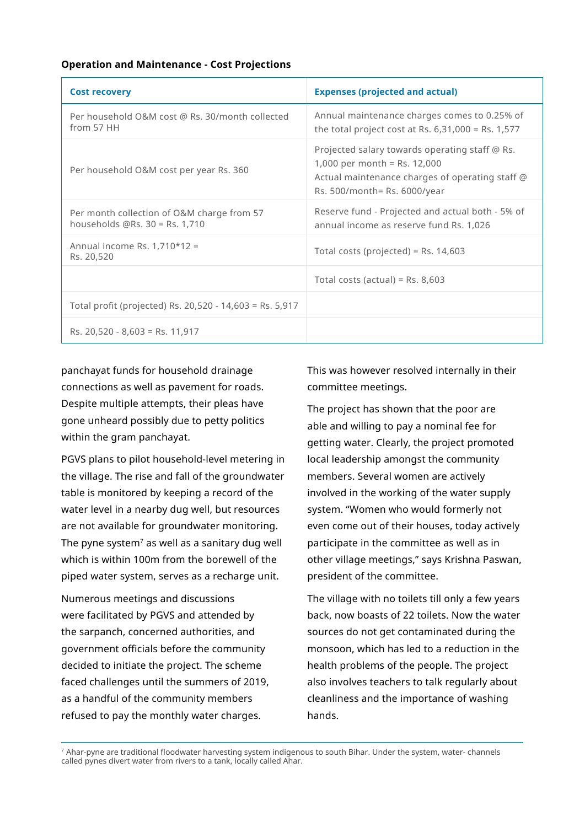#### **Operation and Maintenance - Cost Projections**

| <b>Cost recovery</b>                                                         | <b>Expenses (projected and actual)</b>                                                                                                                              |
|------------------------------------------------------------------------------|---------------------------------------------------------------------------------------------------------------------------------------------------------------------|
| Per household O&M cost @ Rs. 30/month collected<br>from 57 HH                | Annual maintenance charges comes to 0.25% of<br>the total project cost at Rs. $6,31,000 =$ Rs. $1,577$                                                              |
| Per household O&M cost per year Rs. 360                                      | Projected salary towards operating staff @ Rs.<br>1,000 per month = Rs. $12,000$<br>Actual maintenance charges of operating staff @<br>Rs. 500/month= Rs. 6000/year |
| Per month collection of O&M charge from 57<br>households $@Rs.30 = Rs.1,710$ | Reserve fund - Projected and actual both - 5% of<br>annual income as reserve fund Rs. 1,026                                                                         |
| Annual income Rs. $1,710*12 =$<br>Rs. 20,520                                 | Total costs (projected) = Rs. $14,603$                                                                                                                              |
|                                                                              | Total costs (actual) = Rs. $8,603$                                                                                                                                  |
| Total profit (projected) Rs. 20,520 - 14,603 = Rs. 5,917                     |                                                                                                                                                                     |
| Rs. $20,520 - 8,603 =$ Rs. 11,917                                            |                                                                                                                                                                     |

panchayat funds for household drainage connections as well as pavement for roads. Despite multiple attempts, their pleas have gone unheard possibly due to petty politics within the gram panchayat.

PGVS plans to pilot household-level metering in the village. The rise and fall of the groundwater table is monitored by keeping a record of the water level in a nearby dug well, but resources are not available for groundwater monitoring. The pyne system $<sup>7</sup>$  as well as a sanitary dug well</sup> which is within 100m from the borewell of the piped water system, serves as a recharge unit.

Numerous meetings and discussions were facilitated by PGVS and attended by the sarpanch, concerned authorities, and government officials before the community decided to initiate the project. The scheme faced challenges until the summers of 2019, as a handful of the community members refused to pay the monthly water charges.

This was however resolved internally in their committee meetings.

The project has shown that the poor are able and willing to pay a nominal fee for getting water. Clearly, the project promoted local leadership amongst the community members. Several women are actively involved in the working of the water supply system. "Women who would formerly not even come out of their houses, today actively participate in the committee as well as in other village meetings," says Krishna Paswan, president of the committee.

The village with no toilets till only a few years back, now boasts of 22 toilets. Now the water sources do not get contaminated during the monsoon, which has led to a reduction in the health problems of the people. The project also involves teachers to talk regularly about cleanliness and the importance of washing hands.

<sup>7</sup>Ahar-pyne are traditional floodwater harvesting system indigenous to south Bihar. Under the system, water- channels called pynes divert water from rivers to a tank, locally called Ahar.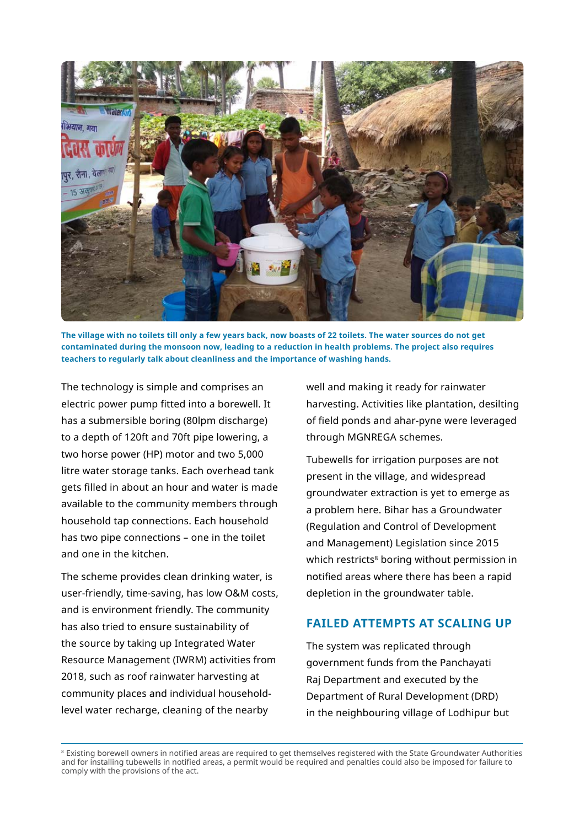

**The village with no toilets till only a few years back, now boasts of 22 toilets. The water sources do not get contaminated during the monsoon now, leading to a reduction in health problems. The project also requires teachers to regularly talk about cleanliness and the importance of washing hands.**

The technology is simple and comprises an electric power pump fitted into a borewell. It has a submersible boring (80lpm discharge) to a depth of 120ft and 70ft pipe lowering, a two horse power (HP) motor and two 5,000 litre water storage tanks. Each overhead tank gets filled in about an hour and water is made available to the community members through household tap connections. Each household has two pipe connections – one in the toilet and one in the kitchen.

The scheme provides clean drinking water, is user-friendly, time-saving, has low O&M costs, and is environment friendly. The community has also tried to ensure sustainability of the source by taking up Integrated Water Resource Management (IWRM) activities from 2018, such as roof rainwater harvesting at community places and individual householdlevel water recharge, cleaning of the nearby

well and making it ready for rainwater harvesting. Activities like plantation, desilting of field ponds and ahar-pyne were leveraged through MGNREGA schemes.

Tubewells for irrigation purposes are not present in the village, and widespread groundwater extraction is yet to emerge as a problem here. Bihar has a Groundwater (Regulation and Control of Development and Management) Legislation since 2015 which restricts<sup>8</sup> boring without permission in notified areas where there has been a rapid depletion in the groundwater table.

### **FAILED ATTEMPTS AT SCALING UP**

The system was replicated through government funds from the Panchayati Raj Department and executed by the Department of Rural Development (DRD) in the neighbouring village of Lodhipur but

<sup>8</sup> Existing borewell owners in notified areas are required to get themselves registered with the State Groundwater Authorities and for installing tubewells in notified areas, a permit would be required and penalties could also be imposed for failure to comply with the provisions of the act.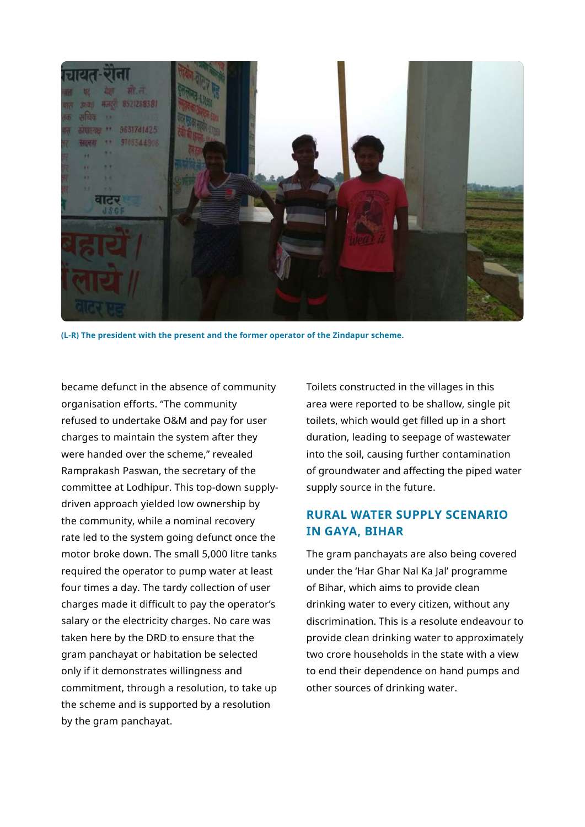

**(L-R) The president with the present and the former operator of the Zindapur scheme.** 

became defunct in the absence of community organisation efforts. "The community refused to undertake O&M and pay for user charges to maintain the system after they were handed over the scheme," revealed Ramprakash Paswan, the secretary of the committee at Lodhipur. This top-down supplydriven approach yielded low ownership by the community, while a nominal recovery rate led to the system going defunct once the motor broke down. The small 5,000 litre tanks required the operator to pump water at least four times a day. The tardy collection of user charges made it difficult to pay the operator's salary or the electricity charges. No care was taken here by the DRD to ensure that the gram panchayat or habitation be selected only if it demonstrates willingness and commitment, through a resolution, to take up the scheme and is supported by a resolution by the gram panchayat.

Toilets constructed in the villages in this area were reported to be shallow, single pit toilets, which would get filled up in a short duration, leading to seepage of wastewater into the soil, causing further contamination of groundwater and affecting the piped water supply source in the future.

## **RURAL WATER SUPPLY SCENARIO IN GAYA, BIHAR**

The gram panchayats are also being covered under the 'Har Ghar Nal Ka Jal' programme of Bihar, which aims to provide clean drinking water to every citizen, without any discrimination. This is a resolute endeavour to provide clean drinking water to approximately two crore households in the state with a view to end their dependence on hand pumps and other sources of drinking water.